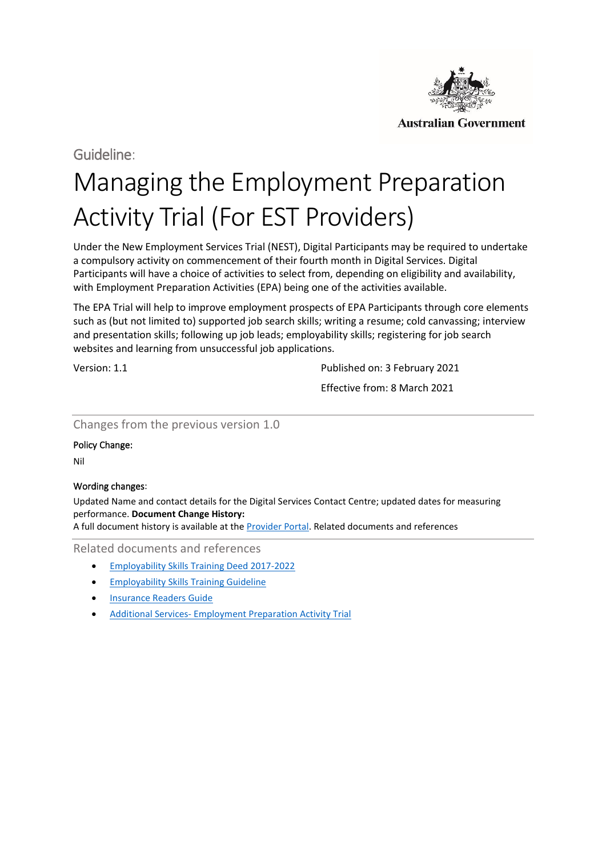

Guideline:

# Managing the Employment Preparation Activity Trial (For EST Providers)

Under the New Employment Services Trial (NEST), Digital Participants may be required to undertake a compulsory activity on commencement of their fourth month in Digital Services. Digital Participants will have a choice of activities to select from, depending on eligibility and availability, with Employment Preparation Activities (EPA) being one of the activities available.

The EPA Trial will help to improve employment prospects of EPA Participants through core elements such as (but not limited to) supported job search skills; writing a resume; cold canvassing; interview and presentation skills; following up job leads; employability skills; registering for job search websites and learning from unsuccessful job applications.

Version: 1.1 **Published on: 3 February 2021** 

Effective from: 8 March 2021

## Changes from the previous version 1.0

## Policy Change:

Nil

## Wording changes:

Updated Name and contact details for the Digital Services Contact Centre; updated dates for measuring performance. **Document Change History:** 

A full document history is available at th[e Provider Portal.](https://ecsnaccess.gov.au/ProviderPortal/EST/Guidelines/Pages/Archived-Guidelines.aspx) Related documents and references

Related documents and references

- [Employability Skills Training Deed 2017-2022](https://ecsnaccess.gov.au/ProviderPortal/EST/ContractualInformation/pages/Default.aspx)
- [Employability Skills Training Guideline](https://ecsnaccess.gov.au/ProviderPortal/EST/Guidelines/pages/Default.aspx)
- [Insurance Readers Guide](https://ecsnaccess.gov.au/ProviderPortal/EST/ProviderOperations/Pages/Insurance.aspx)
- Additional Services- [Employment Preparation Activity Trial](https://ecsnaccess.gov.au/ProviderPortal/EST/ContractualInformation/pages/Default.aspx)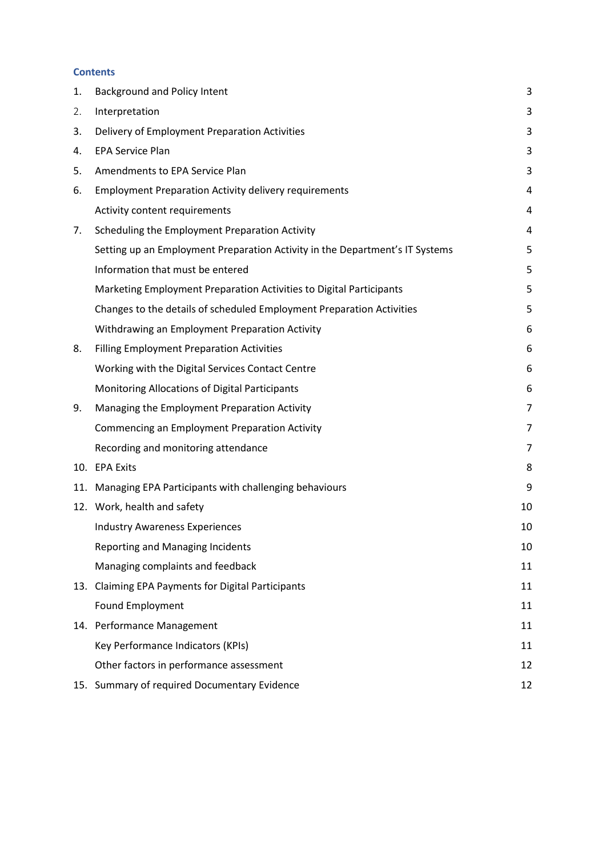#### **Contents**

| 1.  | <b>Background and Policy Intent</b>                                          | 3              |
|-----|------------------------------------------------------------------------------|----------------|
| 2.  | Interpretation                                                               | 3              |
| 3.  | Delivery of Employment Preparation Activities                                | 3              |
| 4.  | <b>EPA Service Plan</b>                                                      | 3              |
| 5.  | Amendments to EPA Service Plan                                               | 3              |
| 6.  | <b>Employment Preparation Activity delivery requirements</b>                 | 4              |
|     | Activity content requirements                                                | 4              |
| 7.  | Scheduling the Employment Preparation Activity                               | 4              |
|     | Setting up an Employment Preparation Activity in the Department's IT Systems | 5              |
|     | Information that must be entered                                             | 5              |
|     | Marketing Employment Preparation Activities to Digital Participants          | 5              |
|     | Changes to the details of scheduled Employment Preparation Activities        | 5              |
|     | Withdrawing an Employment Preparation Activity                               | 6              |
| 8.  | <b>Filling Employment Preparation Activities</b>                             | 6              |
|     | Working with the Digital Services Contact Centre                             | 6              |
|     | Monitoring Allocations of Digital Participants                               | 6              |
| 9.  | Managing the Employment Preparation Activity                                 | $\overline{7}$ |
|     | Commencing an Employment Preparation Activity                                | 7              |
|     | Recording and monitoring attendance                                          | 7              |
| 10. | <b>EPA Exits</b>                                                             | 8              |
| 11. | Managing EPA Participants with challenging behaviours                        | 9              |
|     | 12. Work, health and safety                                                  | 10             |
|     | <b>Industry Awareness Experiences</b>                                        | 10             |
|     | <b>Reporting and Managing Incidents</b>                                      | 10             |
|     | Managing complaints and feedback                                             | 11             |
| 13. | <b>Claiming EPA Payments for Digital Participants</b>                        | 11             |
|     | Found Employment                                                             | 11             |
|     | 14. Performance Management                                                   | 11             |
|     | Key Performance Indicators (KPIs)                                            | 11             |
|     | Other factors in performance assessment                                      | 12             |
|     | 15. Summary of required Documentary Evidence                                 | 12             |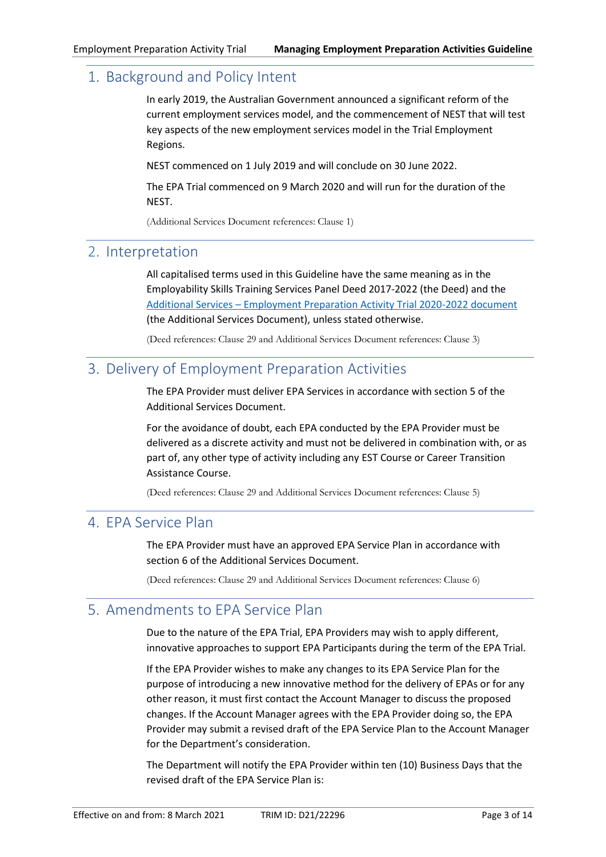# <span id="page-2-0"></span>1. Background and Policy Intent

In early 2019, the Australian Government announced a significant reform of the current employment services model, and the commencement of NEST that will test key aspects of the new employment services model in the Trial Employment Regions.

NEST commenced on 1 July 2019 and will conclude on 30 June 2022.

The EPA Trial commenced on 9 March 2020 and will run for the duration of the NEST.

(Additional Services Document references: Clause 1)

# <span id="page-2-1"></span>2. Interpretation

All capitalised terms used in this Guideline have the same meaning as in the Employability Skills Training Services Panel Deed 2017-2022 (the Deed) and the Additional Services – [Employment Preparation Activity Trial 2020-2022](https://ecsnaccess.gov.au/ProviderPortal/EST/Documents/Current/Employment%20Preparation%20Activity%20Trial%202020%20-%202022.pdf) document (the Additional Services Document), unless stated otherwise.

(Deed references: Clause 29 and Additional Services Document references: Clause 3)

# <span id="page-2-2"></span>3. Delivery of Employment Preparation Activities

The EPA Provider must deliver EPA Services in accordance with section 5 of the Additional Services Document.

For the avoidance of doubt, each EPA conducted by the EPA Provider must be delivered as a discrete activity and must not be delivered in combination with, or as part of, any other type of activity including any EST Course or Career Transition Assistance Course.

(Deed references: Clause 29 and Additional Services Document references: Clause 5)

# <span id="page-2-3"></span>4. EPA Service Plan

The EPA Provider must have an approved EPA Service Plan in accordance with section 6 of the Additional Services Document.

(Deed references: Clause 29 and Additional Services Document references: Clause 6)

# <span id="page-2-4"></span>5. Amendments to EPA Service Plan

Due to the nature of the EPA Trial, EPA Providers may wish to apply different, innovative approaches to support EPA Participants during the term of the EPA Trial.

If the EPA Provider wishes to make any changes to its EPA Service Plan for the purpose of introducing a new innovative method for the delivery of EPAs or for any other reason, it must first contact the Account Manager to discuss the proposed changes. If the Account Manager agrees with the EPA Provider doing so, the EPA Provider may submit a revised draft of the EPA Service Plan to the Account Manager for the Department's consideration.

The Department will notify the EPA Provider within ten (10) Business Days that the revised draft of the EPA Service Plan is: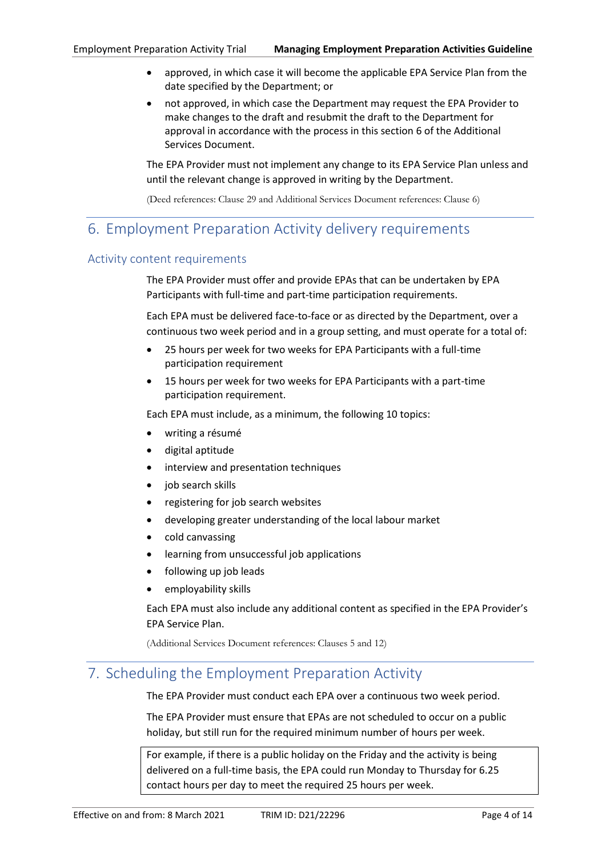- approved, in which case it will become the applicable EPA Service Plan from the date specified by the Department; or
- not approved, in which case the Department may request the EPA Provider to make changes to the draft and resubmit the draft to the Department for approval in accordance with the process in this section 6 of the Additional Services Document.

The EPA Provider must not implement any change to its EPA Service Plan unless and until the relevant change is approved in writing by the Department.

(Deed references: Clause 29 and Additional Services Document references: Clause 6)

# <span id="page-3-0"></span>6. Employment Preparation Activity delivery requirements

## <span id="page-3-1"></span>Activity content requirements

The EPA Provider must offer and provide EPAs that can be undertaken by EPA Participants with full-time and part-time participation requirements.

Each EPA must be delivered face-to-face or as directed by the Department, over a continuous two week period and in a group setting, and must operate for a total of:

- 25 hours per week for two weeks for EPA Participants with a full-time participation requirement
- 15 hours per week for two weeks for EPA Participants with a part-time participation requirement.

Each EPA must include, as a minimum, the following 10 topics:

- writing a résumé
- digital aptitude
- interview and presentation techniques
- iob search skills
- registering for job search websites
- developing greater understanding of the local labour market
- cold canvassing
- learning from unsuccessful job applications
- following up job leads
- employability skills

Each EPA must also include any additional content as specified in the EPA Provider's EPA Service Plan.

(Additional Services Document references: Clauses 5 and 12)

# <span id="page-3-2"></span>7. Scheduling the Employment Preparation Activity

The EPA Provider must conduct each EPA over a continuous two week period.

The EPA Provider must ensure that EPAs are not scheduled to occur on a public holiday, but still run for the required minimum number of hours per week.

For example, if there is a public holiday on the Friday and the activity is being delivered on a full-time basis, the EPA could run Monday to Thursday for 6.25 contact hours per day to meet the required 25 hours per week.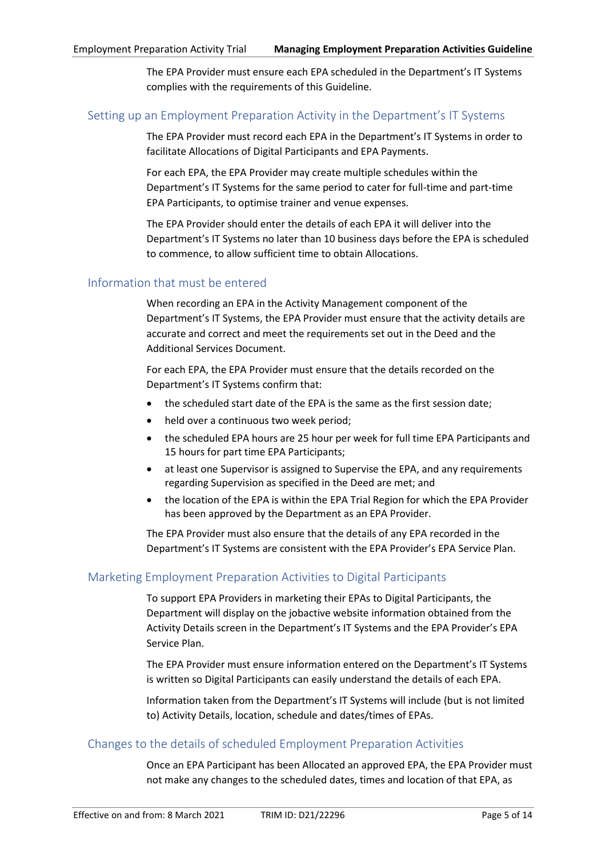The EPA Provider must ensure each EPA scheduled in the Department's IT Systems complies with the requirements of this Guideline.

#### <span id="page-4-0"></span>Setting up an Employment Preparation Activity in the Department's IT Systems

The EPA Provider must record each EPA in the Department's IT Systems in order to facilitate Allocations of Digital Participants and EPA Payments.

For each EPA, the EPA Provider may create multiple schedules within the Department's IT Systems for the same period to cater for full-time and part-time EPA Participants, to optimise trainer and venue expenses.

The EPA Provider should enter the details of each EPA it will deliver into the Department's IT Systems no later than 10 business days before the EPA is scheduled to commence, to allow sufficient time to obtain Allocations.

#### <span id="page-4-1"></span>Information that must be entered

When recording an EPA in the Activity Management component of the Department's IT Systems, the EPA Provider must ensure that the activity details are accurate and correct and meet the requirements set out in the Deed and the Additional Services Document.

For each EPA, the EPA Provider must ensure that the details recorded on the Department's IT Systems confirm that:

- the scheduled start date of the EPA is the same as the first session date;
- held over a continuous two week period;
- the scheduled EPA hours are 25 hour per week for full time EPA Participants and 15 hours for part time EPA Participants;
- at least one Supervisor is assigned to Supervise the EPA, and any requirements regarding Supervision as specified in the Deed are met; and
- the location of the EPA is within the EPA Trial Region for which the EPA Provider has been approved by the Department as an EPA Provider.

The EPA Provider must also ensure that the details of any EPA recorded in the Department's IT Systems are consistent with the EPA Provider's EPA Service Plan.

## <span id="page-4-2"></span>Marketing Employment Preparation Activities to Digital Participants

To support EPA Providers in marketing their EPAs to Digital Participants, the Department will display on the jobactive website information obtained from the Activity Details screen in the Department's IT Systems and the EPA Provider's EPA Service Plan.

The EPA Provider must ensure information entered on the Department's IT Systems is written so Digital Participants can easily understand the details of each EPA.

Information taken from the Department's IT Systems will include (but is not limited to) Activity Details, location, schedule and dates/times of EPAs.

#### <span id="page-4-3"></span>Changes to the details of scheduled Employment Preparation Activities

Once an EPA Participant has been Allocated an approved EPA, the EPA Provider must not make any changes to the scheduled dates, times and location of that EPA, as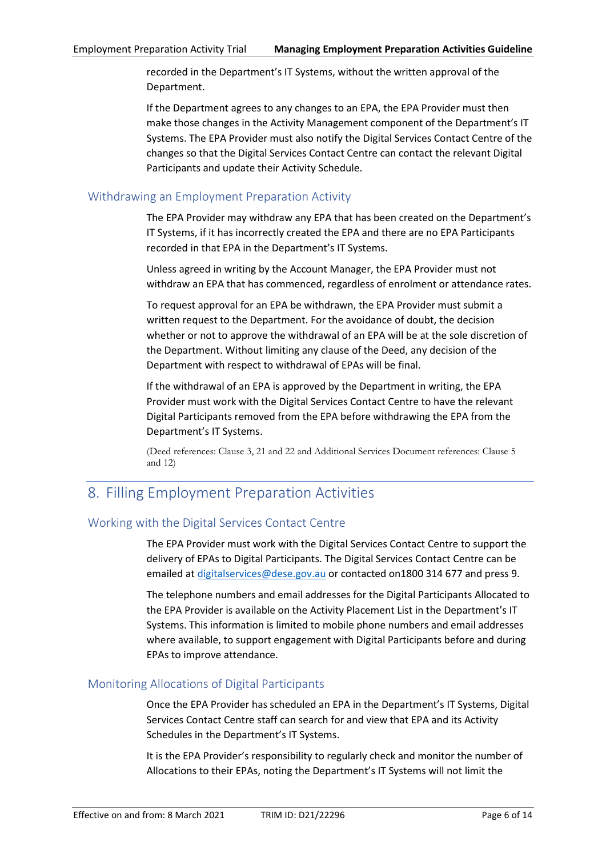recorded in the Department's IT Systems, without the written approval of the Department.

If the Department agrees to any changes to an EPA, the EPA Provider must then make those changes in the Activity Management component of the Department's IT Systems. The EPA Provider must also notify the Digital Services Contact Centre of the changes so that the Digital Services Contact Centre can contact the relevant Digital Participants and update their Activity Schedule.

## <span id="page-5-0"></span>Withdrawing an Employment Preparation Activity

The EPA Provider may withdraw any EPA that has been created on the Department's IT Systems, if it has incorrectly created the EPA and there are no EPA Participants recorded in that EPA in the Department's IT Systems.

Unless agreed in writing by the Account Manager, the EPA Provider must not withdraw an EPA that has commenced, regardless of enrolment or attendance rates.

To request approval for an EPA be withdrawn, the EPA Provider must submit a written request to the Department. For the avoidance of doubt, the decision whether or not to approve the withdrawal of an EPA will be at the sole discretion of the Department. Without limiting any clause of the Deed, any decision of the Department with respect to withdrawal of EPAs will be final.

If the withdrawal of an EPA is approved by the Department in writing, the EPA Provider must work with the Digital Services Contact Centre to have the relevant Digital Participants removed from the EPA before withdrawing the EPA from the Department's IT Systems.

(Deed references: Clause 3, 21 and 22 and Additional Services Document references: Clause 5 and 12)

# <span id="page-5-1"></span>8. Filling Employment Preparation Activities

# <span id="page-5-2"></span>Working with the Digital Services Contact Centre

The EPA Provider must work with the Digital Services Contact Centre to support the delivery of EPAs to Digital Participants. The Digital Services Contact Centre can be emailed at [digitalservices@dese.gov.au](mailto:digitalservices@dese.gov.au) or contacted on1800 314 677 and press 9.

The telephone numbers and email addresses for the Digital Participants Allocated to the EPA Provider is available on the Activity Placement List in the Department's IT Systems. This information is limited to mobile phone numbers and email addresses where available, to support engagement with Digital Participants before and during EPAs to improve attendance.

## <span id="page-5-3"></span>Monitoring Allocations of Digital Participants

Once the EPA Provider has scheduled an EPA in the Department's IT Systems, Digital Services Contact Centre staff can search for and view that EPA and its Activity Schedules in the Department's IT Systems.

It is the EPA Provider's responsibility to regularly check and monitor the number of Allocations to their EPAs, noting the Department's IT Systems will not limit the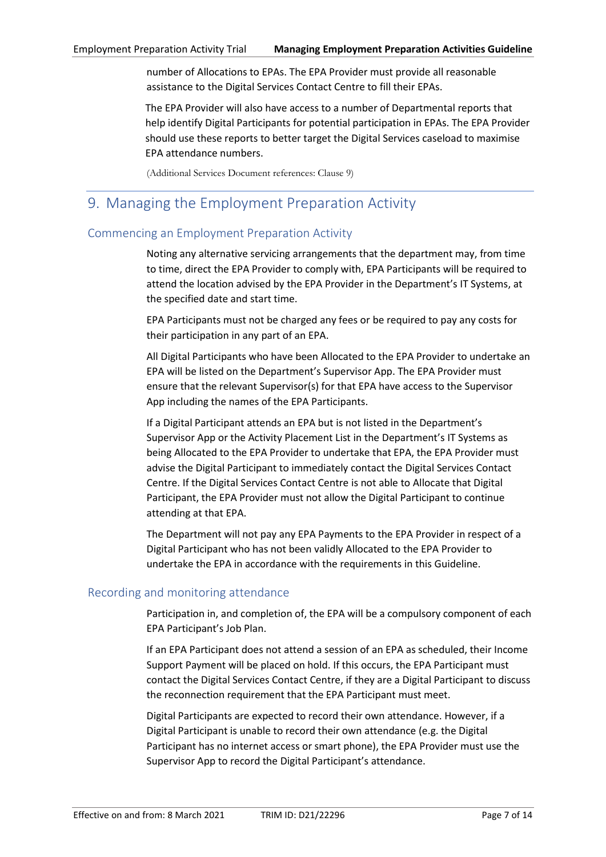number of Allocations to EPAs. The EPA Provider must provide all reasonable assistance to the Digital Services Contact Centre to fill their EPAs.

The EPA Provider will also have access to a number of Departmental reports that help identify Digital Participants for potential participation in EPAs. The EPA Provider should use these reports to better target the Digital Services caseload to maximise EPA attendance numbers.

(Additional Services Document references: Clause 9)

# <span id="page-6-0"></span>9. Managing the Employment Preparation Activity

## <span id="page-6-1"></span>Commencing an Employment Preparation Activity

Noting any alternative servicing arrangements that the department may, from time to time, direct the EPA Provider to comply with, EPA Participants will be required to attend the location advised by the EPA Provider in the Department's IT Systems, at the specified date and start time.

EPA Participants must not be charged any fees or be required to pay any costs for their participation in any part of an EPA.

All Digital Participants who have been Allocated to the EPA Provider to undertake an EPA will be listed on the Department's Supervisor App. The EPA Provider must ensure that the relevant Supervisor(s) for that EPA have access to the Supervisor App including the names of the EPA Participants.

If a Digital Participant attends an EPA but is not listed in the Department's Supervisor App or the Activity Placement List in the Department's IT Systems as being Allocated to the EPA Provider to undertake that EPA, the EPA Provider must advise the Digital Participant to immediately contact the Digital Services Contact Centre. If the Digital Services Contact Centre is not able to Allocate that Digital Participant, the EPA Provider must not allow the Digital Participant to continue attending at that EPA.

The Department will not pay any EPA Payments to the EPA Provider in respect of a Digital Participant who has not been validly Allocated to the EPA Provider to undertake the EPA in accordance with the requirements in this Guideline.

## <span id="page-6-2"></span>Recording and monitoring attendance

Participation in, and completion of, the EPA will be a compulsory component of each EPA Participant's Job Plan.

If an EPA Participant does not attend a session of an EPA as scheduled, their Income Support Payment will be placed on hold. If this occurs, the EPA Participant must contact the Digital Services Contact Centre, if they are a Digital Participant to discuss the reconnection requirement that the EPA Participant must meet.

Digital Participants are expected to record their own attendance. However, if a Digital Participant is unable to record their own attendance (e.g. the Digital Participant has no internet access or smart phone), the EPA Provider must use the Supervisor App to record the Digital Participant's attendance.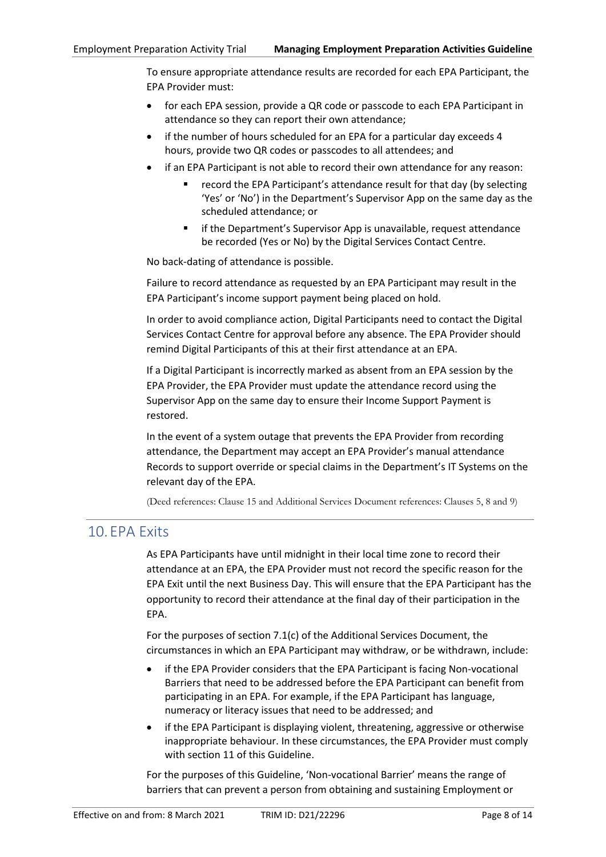To ensure appropriate attendance results are recorded for each EPA Participant, the EPA Provider must:

- for each EPA session, provide a QR code or passcode to each EPA Participant in attendance so they can report their own attendance;
- if the number of hours scheduled for an EPA for a particular day exceeds 4 hours, provide two QR codes or passcodes to all attendees; and
- if an EPA Participant is not able to record their own attendance for any reason:
	- record the EPA Participant's attendance result for that day (by selecting 'Yes' or 'No') in the Department's Supervisor App on the same day as the scheduled attendance; or
	- if the Department's Supervisor App is unavailable, request attendance be recorded (Yes or No) by the Digital Services Contact Centre.

No back-dating of attendance is possible.

Failure to record attendance as requested by an EPA Participant may result in the EPA Participant's income support payment being placed on hold.

In order to avoid compliance action, Digital Participants need to contact the Digital Services Contact Centre for approval before any absence. The EPA Provider should remind Digital Participants of this at their first attendance at an EPA.

If a Digital Participant is incorrectly marked as absent from an EPA session by the EPA Provider, the EPA Provider must update the attendance record using the Supervisor App on the same day to ensure their Income Support Payment is restored.

In the event of a system outage that prevents the EPA Provider from recording attendance, the Department may accept an EPA Provider's manual attendance Records to support override or special claims in the Department's IT Systems on the relevant day of the EPA.

(Deed references: Clause 15 and Additional Services Document references: Clauses 5, 8 and 9)

# <span id="page-7-0"></span>10.EPA Exits

As EPA Participants have until midnight in their local time zone to record their attendance at an EPA, the EPA Provider must not record the specific reason for the EPA Exit until the next Business Day. This will ensure that the EPA Participant has the opportunity to record their attendance at the final day of their participation in the EPA.

For the purposes of section 7.1(c) of the Additional Services Document, the circumstances in which an EPA Participant may withdraw, or be withdrawn, include:

- if the EPA Provider considers that the EPA Participant is facing Non-vocational Barriers that need to be addressed before the EPA Participant can benefit from participating in an EPA. For example, if the EPA Participant has language, numeracy or literacy issues that need to be addressed; and
- if the EPA Participant is displaying violent, threatening, aggressive or otherwise inappropriate behaviour. In these circumstances, the EPA Provider must comply with section [11](#page-8-0) of this Guideline.

For the purposes of this Guideline, 'Non-vocational Barrier' means the range of barriers that can prevent a person from obtaining and sustaining Employment or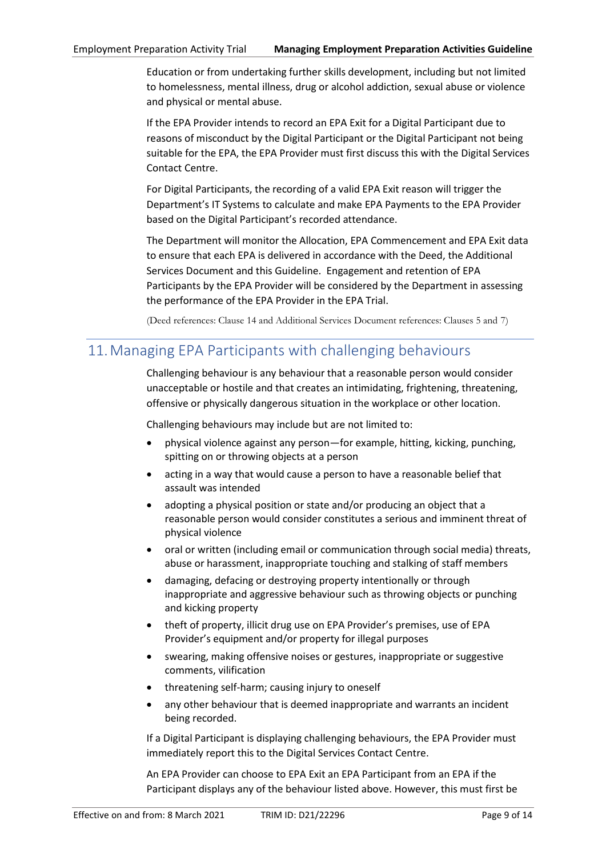Education or from undertaking further skills development, including but not limited to homelessness, mental illness, drug or alcohol addiction, sexual abuse or violence and physical or mental abuse.

If the EPA Provider intends to record an EPA Exit for a Digital Participant due to reasons of misconduct by the Digital Participant or the Digital Participant not being suitable for the EPA, the EPA Provider must first discuss this with the Digital Services Contact Centre.

For Digital Participants, the recording of a valid EPA Exit reason will trigger the Department's IT Systems to calculate and make EPA Payments to the EPA Provider based on the Digital Participant's recorded attendance.

The Department will monitor the Allocation, EPA Commencement and EPA Exit data to ensure that each EPA is delivered in accordance with the Deed, the Additional Services Document and this Guideline. Engagement and retention of EPA Participants by the EPA Provider will be considered by the Department in assessing the performance of the EPA Provider in the EPA Trial.

(Deed references: Clause 14 and Additional Services Document references: Clauses 5 and 7)

# <span id="page-8-0"></span>11.Managing EPA Participants with challenging behaviours

Challenging behaviour is any behaviour that a reasonable person would consider unacceptable or hostile and that creates an intimidating, frightening, threatening, offensive or physically dangerous situation in the workplace or other location.

Challenging behaviours may include but are not limited to:

- physical violence against any person—for example, hitting, kicking, punching, spitting on or throwing objects at a person
- acting in a way that would cause a person to have a reasonable belief that assault was intended
- adopting a physical position or state and/or producing an object that a reasonable person would consider constitutes a serious and imminent threat of physical violence
- oral or written (including email or communication through social media) threats, abuse or harassment, inappropriate touching and stalking of staff members
- damaging, defacing or destroying property intentionally or through inappropriate and aggressive behaviour such as throwing objects or punching and kicking property
- theft of property, illicit drug use on EPA Provider's premises, use of EPA Provider's equipment and/or property for illegal purposes
- swearing, making offensive noises or gestures, inappropriate or suggestive comments, vilification
- threatening self-harm; causing injury to oneself
- any other behaviour that is deemed inappropriate and warrants an incident being recorded.

If a Digital Participant is displaying challenging behaviours, the EPA Provider must immediately report this to the Digital Services Contact Centre.

An EPA Provider can choose to EPA Exit an EPA Participant from an EPA if the Participant displays any of the behaviour listed above. However, this must first be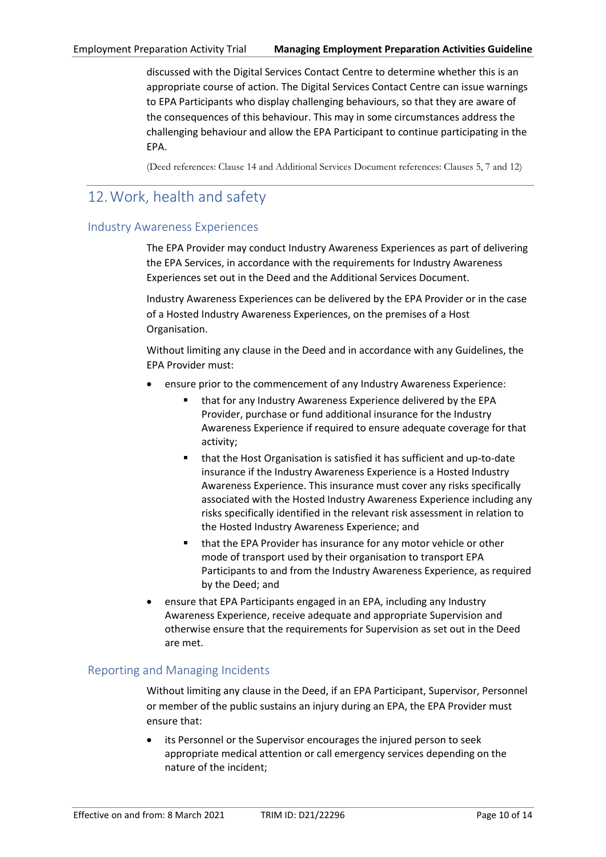discussed with the Digital Services Contact Centre to determine whether this is an appropriate course of action. The Digital Services Contact Centre can issue warnings to EPA Participants who display challenging behaviours, so that they are aware of the consequences of this behaviour. This may in some circumstances address the challenging behaviour and allow the EPA Participant to continue participating in the EPA.

(Deed references: Clause 14 and Additional Services Document references: Clauses 5, 7 and 12)

# <span id="page-9-0"></span>12.Work, health and safety

#### <span id="page-9-1"></span>Industry Awareness Experiences

The EPA Provider may conduct Industry Awareness Experiences as part of delivering the EPA Services, in accordance with the requirements for Industry Awareness Experiences set out in the Deed and the Additional Services Document.

Industry Awareness Experiences can be delivered by the EPA Provider or in the case of a Hosted Industry Awareness Experiences, on the premises of a Host Organisation.

Without limiting any clause in the Deed and in accordance with any Guidelines, the EPA Provider must:

- ensure prior to the commencement of any Industry Awareness Experience:
	- that for any Industry Awareness Experience delivered by the EPA Provider, purchase or fund additional insurance for the Industry Awareness Experience if required to ensure adequate coverage for that activity;
	- that the Host Organisation is satisfied it has sufficient and up-to-date insurance if the Industry Awareness Experience is a Hosted Industry Awareness Experience. This insurance must cover any risks specifically associated with the Hosted Industry Awareness Experience including any risks specifically identified in the relevant risk assessment in relation to the Hosted Industry Awareness Experience; and
	- that the EPA Provider has insurance for any motor vehicle or other mode of transport used by their organisation to transport EPA Participants to and from the Industry Awareness Experience, as required by the Deed; and
- ensure that EPA Participants engaged in an EPA, including any Industry Awareness Experience, receive adequate and appropriate Supervision and otherwise ensure that the requirements for Supervision as set out in the Deed are met.

## <span id="page-9-2"></span>Reporting and Managing Incidents

Without limiting any clause in the Deed, if an EPA Participant, Supervisor, Personnel or member of the public sustains an injury during an EPA, the EPA Provider must ensure that:

its Personnel or the Supervisor encourages the injured person to seek appropriate medical attention or call emergency services depending on the nature of the incident;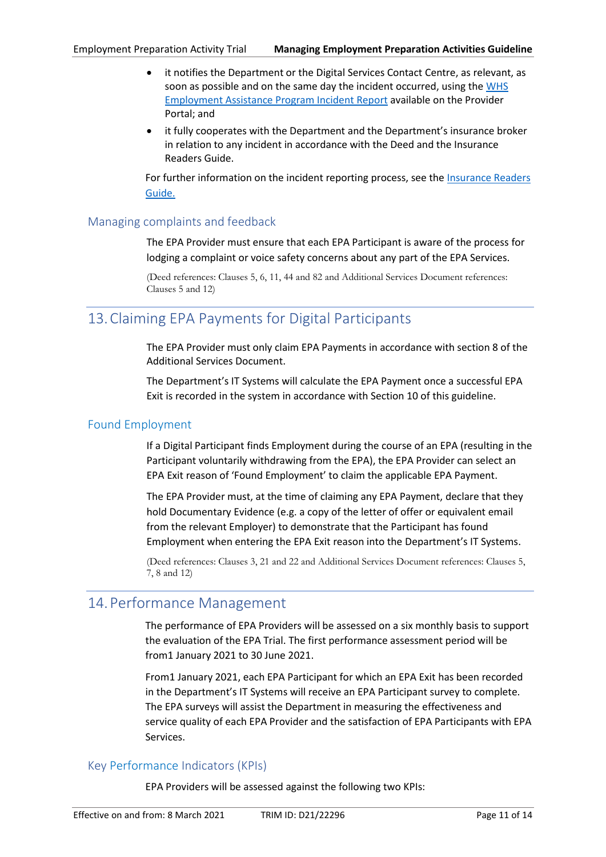- it notifies the Department or the Digital Services Contact Centre, as relevant, as soon as possible and on the same day the incident occurred, using th[e WHS](https://ecsnaccess.gov.au/ProviderPortal/EST/ProviderOperations/Pages/Insurance.aspx)  [Employment Assistance Program Incident Report](https://ecsnaccess.gov.au/ProviderPortal/EST/ProviderOperations/Pages/Insurance.aspx) available on the Provider Portal; and
- it fully cooperates with the Department and the Department's insurance broker in relation to any incident in accordance with the Deed and the Insurance Readers Guide.

For further information on the incident reporting process, see the [Insurance Readers](https://ecsnaccess.gov.au/ProviderPortal/EST/ProviderOperations/Pages/Insurance.aspx)  [Guide.](https://ecsnaccess.gov.au/ProviderPortal/EST/ProviderOperations/Pages/Insurance.aspx) 

## <span id="page-10-0"></span>Managing complaints and feedback

The EPA Provider must ensure that each EPA Participant is aware of the process for lodging a complaint or voice safety concerns about any part of the EPA Services.

(Deed references: Clauses 5, 6, 11, 44 and 82 and Additional Services Document references: Clauses 5 and 12)

# <span id="page-10-1"></span>13.Claiming EPA Payments for Digital Participants

The EPA Provider must only claim EPA Payments in accordance with section 8 of the Additional Services Document.

The Department's IT Systems will calculate the EPA Payment once a successful EPA Exit is recorded in the system in accordance with Section 10 of this guideline.

## <span id="page-10-2"></span>Found Employment

If a Digital Participant finds Employment during the course of an EPA (resulting in the Participant voluntarily withdrawing from the EPA), the EPA Provider can select an EPA Exit reason of 'Found Employment' to claim the applicable EPA Payment.

The EPA Provider must, at the time of claiming any EPA Payment, declare that they hold Documentary Evidence (e.g. a copy of the letter of offer or equivalent email from the relevant Employer) to demonstrate that the Participant has found Employment when entering the EPA Exit reason into the Department's IT Systems.

(Deed references: Clauses 3, 21 and 22 and Additional Services Document references: Clauses 5, 7, 8 and 12)

# <span id="page-10-3"></span>14.Performance Management

The performance of EPA Providers will be assessed on a six monthly basis to support the evaluation of the EPA Trial. The first performance assessment period will be from1 January 2021 to 30 June 2021.

From1 January 2021, each EPA Participant for which an EPA Exit has been recorded in the Department's IT Systems will receive an EPA Participant survey to complete. The EPA surveys will assist the Department in measuring the effectiveness and service quality of each EPA Provider and the satisfaction of EPA Participants with EPA Services.

## <span id="page-10-4"></span>Key Performance Indicators (KPIs)

EPA Providers will be assessed against the following two KPIs: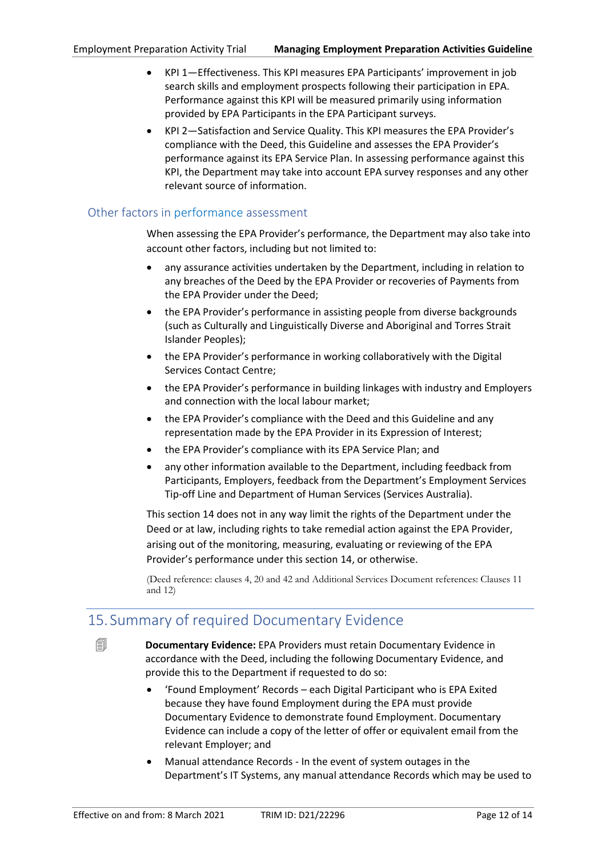- KPI 1—Effectiveness. This KPI measures EPA Participants' improvement in job search skills and employment prospects following their participation in EPA. Performance against this KPI will be measured primarily using information provided by EPA Participants in the EPA Participant surveys.
- KPI 2—Satisfaction and Service Quality. This KPI measures the EPA Provider's compliance with the Deed, this Guideline and assesses the EPA Provider's performance against its EPA Service Plan. In assessing performance against this KPI, the Department may take into account EPA survey responses and any other relevant source of information.

## <span id="page-11-0"></span>Other factors in performance assessment

When assessing the EPA Provider's performance, the Department may also take into account other factors, including but not limited to:

- any assurance activities undertaken by the Department, including in relation to any breaches of the Deed by the EPA Provider or recoveries of Payments from the EPA Provider under the Deed;
- the EPA Provider's performance in assisting people from diverse backgrounds (such as Culturally and Linguistically Diverse and Aboriginal and Torres Strait Islander Peoples);
- the EPA Provider's performance in working collaboratively with the Digital Services Contact Centre;
- the EPA Provider's performance in building linkages with industry and Employers and connection with the local labour market;
- the EPA Provider's compliance with the Deed and this Guideline and any representation made by the EPA Provider in its Expression of Interest;
- the EPA Provider's compliance with its EPA Service Plan; and
- any other information available to the Department, including feedback from Participants, Employers, feedback from the Department's Employment Services Tip-off Line and Department of Human Services (Services Australia).

This section [14](#page-10-3) does not in any way limit the rights of the Department under the Deed or at law, including rights to take remedial action against the EPA Provider, arising out of the monitoring, measuring, evaluating or reviewing of the EPA Provider's performance under this section [14,](#page-10-3) or otherwise.

(Deed reference: clauses 4, 20 and 42 and Additional Services Document references: Clauses 11 and 12)

# <span id="page-11-1"></span>15. Summary of required Documentary Evidence



 **Documentary Evidence:** EPA Providers must retain Documentary Evidence in accordance with the Deed, including the following Documentary Evidence, and provide this to the Department if requested to do so:

- 'Found Employment' Records each Digital Participant who is EPA Exited because they have found Employment during the EPA must provide Documentary Evidence to demonstrate found Employment. Documentary Evidence can include a copy of the letter of offer or equivalent email from the relevant Employer; and
- Manual attendance Records In the event of system outages in the Department's IT Systems, any manual attendance Records which may be used to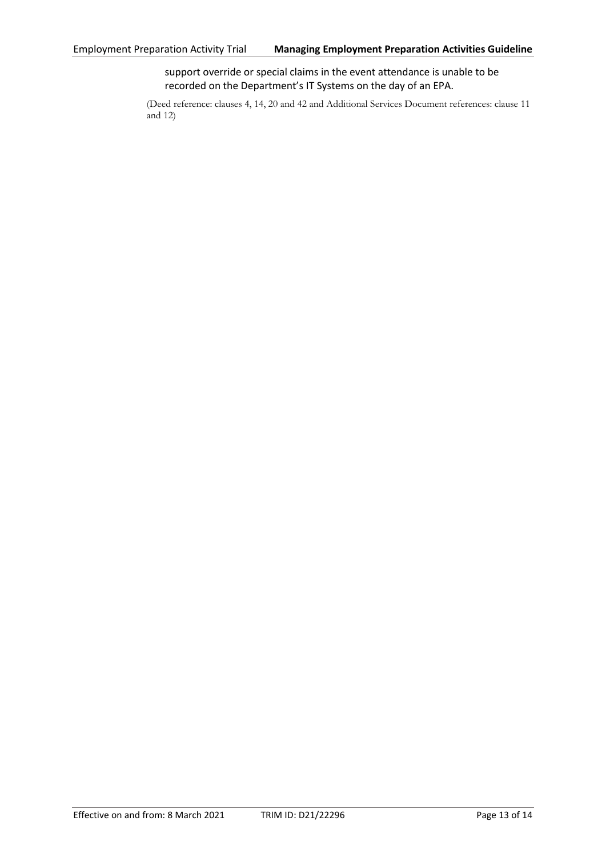support override or special claims in the event attendance is unable to be recorded on the Department's IT Systems on the day of an EPA.

(Deed reference: clauses 4, 14, 20 and 42 and Additional Services Document references: clause 11 and 12)